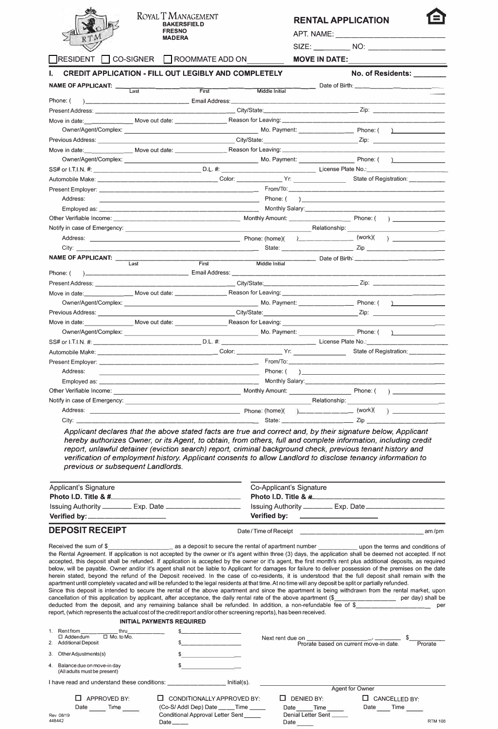

Rev. 08/19 448442

#### **ROYAL** T **MANAGEMENT BAKERSFIELD FRESNO**  APT. NAME: **MADERA** --------------

# **RENTAL APPLICATION**

SIZE: \_\_\_\_\_\_\_\_\_\_ NO:

□ RESIDENT □ CO-SIGNER □ ROOMMATE ADD ON **MOVE IN DATE:** 

**I.** CREDIT APPLICATION - FILL OUT LEGIBLY AND COMPLETELY **No. 2018** No. of Residents:

| <b>NAME OF APPLICANT:</b>                                                | Date of Birth: _______________                                                                                                                                                                                                       |          |                |                                                                                                                                                                                                                                              |  |
|--------------------------------------------------------------------------|--------------------------------------------------------------------------------------------------------------------------------------------------------------------------------------------------------------------------------------|----------|----------------|----------------------------------------------------------------------------------------------------------------------------------------------------------------------------------------------------------------------------------------------|--|
|                                                                          | $\overline{1}$ ast                                                                                                                                                                                                                   | First    | Middle Initial |                                                                                                                                                                                                                                              |  |
| Phone: (                                                                 |                                                                                                                                                                                                                                      |          |                |                                                                                                                                                                                                                                              |  |
|                                                                          |                                                                                                                                                                                                                                      |          |                |                                                                                                                                                                                                                                              |  |
|                                                                          |                                                                                                                                                                                                                                      |          |                |                                                                                                                                                                                                                                              |  |
|                                                                          |                                                                                                                                                                                                                                      |          |                | Owner/Agent/Complex: Phone: (2009) Mo. Payment: Phone: (2009) Mo. Payment: Complex: (2009) Phone: (2009) Mo. Payment: (2009) Mo. Payment: (2009) Mo. Payment: (2009) Mo. Payment: (2009) Mo. Payment: (2009) Mo. Payment: (200<br>$\sqrt{2}$ |  |
|                                                                          |                                                                                                                                                                                                                                      |          |                |                                                                                                                                                                                                                                              |  |
|                                                                          |                                                                                                                                                                                                                                      |          |                |                                                                                                                                                                                                                                              |  |
|                                                                          |                                                                                                                                                                                                                                      |          |                |                                                                                                                                                                                                                                              |  |
|                                                                          |                                                                                                                                                                                                                                      |          |                |                                                                                                                                                                                                                                              |  |
|                                                                          |                                                                                                                                                                                                                                      |          |                | State of Registration: ___________                                                                                                                                                                                                           |  |
|                                                                          |                                                                                                                                                                                                                                      |          |                |                                                                                                                                                                                                                                              |  |
| Address:                                                                 |                                                                                                                                                                                                                                      |          |                | $\overline{a}$                                                                                                                                                                                                                               |  |
|                                                                          |                                                                                                                                                                                                                                      |          |                |                                                                                                                                                                                                                                              |  |
|                                                                          |                                                                                                                                                                                                                                      |          |                |                                                                                                                                                                                                                                              |  |
|                                                                          | Notify in case of Emergency: <u>example and the set of the set of the set of the set of the set of the set of the set of the set of the set of the set of the set of the set of the set of the set of the set of the set of the </u> |          |                |                                                                                                                                                                                                                                              |  |
|                                                                          |                                                                                                                                                                                                                                      |          |                |                                                                                                                                                                                                                                              |  |
|                                                                          |                                                                                                                                                                                                                                      |          |                |                                                                                                                                                                                                                                              |  |
| NAME OF APPLICANT: __                                                    |                                                                                                                                                                                                                                      |          |                | ______ Date of Birth: __________________________                                                                                                                                                                                             |  |
|                                                                          | Last                                                                                                                                                                                                                                 | First    | Middle Initial |                                                                                                                                                                                                                                              |  |
| Phone: (                                                                 |                                                                                                                                                                                                                                      |          |                |                                                                                                                                                                                                                                              |  |
|                                                                          |                                                                                                                                                                                                                                      |          |                |                                                                                                                                                                                                                                              |  |
|                                                                          |                                                                                                                                                                                                                                      |          |                |                                                                                                                                                                                                                                              |  |
|                                                                          |                                                                                                                                                                                                                                      |          |                |                                                                                                                                                                                                                                              |  |
|                                                                          |                                                                                                                                                                                                                                      |          |                |                                                                                                                                                                                                                                              |  |
|                                                                          |                                                                                                                                                                                                                                      |          |                |                                                                                                                                                                                                                                              |  |
|                                                                          |                                                                                                                                                                                                                                      |          |                | Owner/Agent/Complex: Phone: (2008) 2012 12:30 Mo. Payment: Phone: (2008) 2013 12:30 Mo. Payment: 2009<br>$\mathbf{1}$                                                                                                                        |  |
|                                                                          |                                                                                                                                                                                                                                      |          |                | SS# or I.T.I.N. #: ________________________________D.L. #: _______________________________License Plate No.:___________________________                                                                                                      |  |
|                                                                          |                                                                                                                                                                                                                                      |          |                | State of Registration: __________                                                                                                                                                                                                            |  |
|                                                                          |                                                                                                                                                                                                                                      |          |                |                                                                                                                                                                                                                                              |  |
| Address:                                                                 |                                                                                                                                                                                                                                      | Phone: ( |                | $\begin{array}{c} \hline \end{array}$                                                                                                                                                                                                        |  |
|                                                                          |                                                                                                                                                                                                                                      |          |                | Monthly Salary: North and Salary:                                                                                                                                                                                                            |  |
| Other Verifiable Income: Nonthly Amount: Nonthly Amount: Nonthly Amount: |                                                                                                                                                                                                                                      |          |                | $\lambda$                                                                                                                                                                                                                                    |  |
|                                                                          |                                                                                                                                                                                                                                      |          |                | <b>Example 2018</b> Relationship:                                                                                                                                                                                                            |  |
|                                                                          |                                                                                                                                                                                                                                      |          |                |                                                                                                                                                                                                                                              |  |
| City: $\_\_\_\_\_\_\_\_\$                                                |                                                                                                                                                                                                                                      |          |                |                                                                                                                                                                                                                                              |  |

*Applicant declares that the above stated facts are true and correct and, by their signature below, Applicant hereby authorizes Owner, or its Agent, to obtain, from others, full and complete information, including credit report, unlawful detainer (eviction search) report, criminal background check, previous tenant history and verification of employment history. Applicant consents to allow Landlord to disclose tenancy information to previous or subsequent Landlords.* 

| Applicant's Signature<br>Photo I.D. Title & #<br>Issuing Authority ___________ Exp. Date ___________________ | Co-Applicant's Signature<br>Photo I.D. Title & # _______________ |
|--------------------------------------------------------------------------------------------------------------|------------------------------------------------------------------|
| Verified by:_________________                                                                                | Verified by: ______________________                              |
| <b>DEPOSIT RECEIPT</b>                                                                                       | Date / Time of Receipt<br>am/pm                                  |

Received the sum of \$ \_\_\_\_\_\_\_\_\_ as a deposit to secure the rental of apartment number \_\_\_\_\_ upon the terms and conditions of the Rental Agreement. If application is not accepted by the owner or it's agent within three (3) days, the application shall be deemed not accepted. If not accepted, this deposit shall be refunded. If application is accepted by the owner or it's agent, the first month's rent plus additional deposits, as required below, will be payable. Owner and/or it's agent shall not be liable to Applicant for damages for failure to deliver possession of the premises on the date herein stated, beyond the refund of the Deposit received. In the case of co-residents, it is understood that the full deposit shall remain with the apartment until completely vacated and will be refunded to the legal residents at that time. At no time will any deposit be split or partially refunded. Since this deposit is intended to secure the rental of the above apartment and since the apartment is being withdrawn from the rental market, upon cancellation of this application by applicant, after acceptance, the daily cancellation of this application by applicant, after acceptance, the daily rental rate of the above apartment (\$\_ deducted from the deposit, and any remaining balance shall be refunded. In addition, a non-refundable fee of \$\_\_\_\_\_\_\_\_\_\_\_\_\_\_\_\_\_\_\_\_\_\_\_\_ per report, (which represents the actual cost of the credit report and/or other screening reports), has been received. **INITIAL PAYMENTS REQUIRED**  1. Rent from \_\_\_\_\_\_\_\_\_\_\_\_\_\_thru\_\_\_\_\_\_\_\_\_\_\_\_<br>□ Addendum □ Mo. to Mo. \$ \_\_\_\_\_\_\_ \_ \$ \_\_\_\_\_\_\_ \_ Next rent due on \_\_\_\_\_\_\_\_\_ , \_\_ \_ \$ \_\_\_\_ \_ 2. Additional Deposit 3. OtherAdjustments(s) Balance due on move-in day (All adults must be present)  $\sqrt{2}$  $\frac{1}{2}$   $\frac{1}{2}$   $\frac{1}{2}$   $\frac{1}{2}$   $\frac{1}{2}$   $\frac{1}{2}$   $\frac{1}{2}$   $\frac{1}{2}$   $\frac{1}{2}$   $\frac{1}{2}$   $\frac{1}{2}$   $\frac{1}{2}$   $\frac{1}{2}$   $\frac{1}{2}$   $\frac{1}{2}$   $\frac{1}{2}$   $\frac{1}{2}$   $\frac{1}{2}$   $\frac{1}{2}$   $\frac{1}{2}$   $\frac{1}{2}$   $\frac{1}{2}$   $\sqrt{2}$  $\frac{1}{2}$ I have read and understand these conditions: \_\_\_\_\_\_\_\_\_\_\_\_\_\_\_\_ Initial(s). □ APPROVED BY: Date Time  $\square$  CONDITIONALLY APPROVED BY: (Co-S/ Addl Dep) Date \_\_\_\_Time Conditional Approval Letter Sent\_ Prorate based on current move-in date. Prorate Agent for Owner □ DENIED BY: □ CANCELLED BY:<br>Date Time Date Time  $Time$ Denial Letter Sent Date Time

Date

Date\_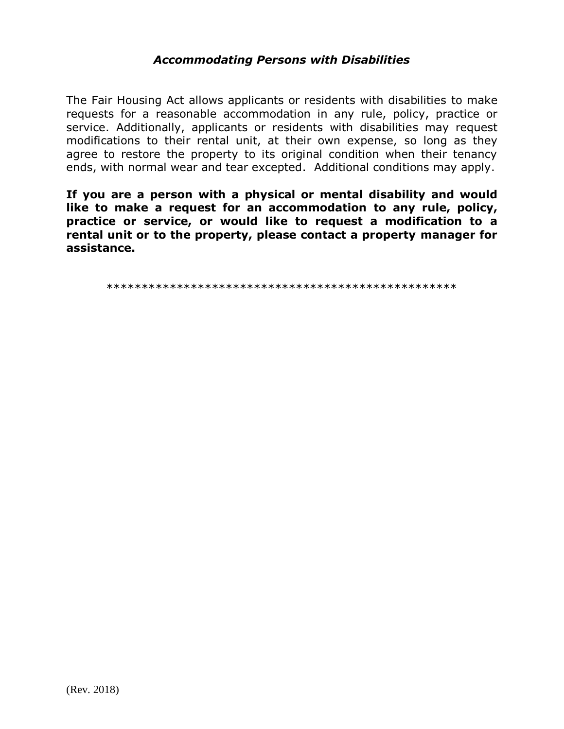# **Accommodating Persons with Disabilities**

The Fair Housing Act allows applicants or residents with disabilities to make requests for a reasonable accommodation in any rule, policy, practice or service. Additionally, applicants or residents with disabilities may request modifications to their rental unit, at their own expense, so long as they agree to restore the property to its original condition when their tenancy ends, with normal wear and tear excepted. Additional conditions may apply.

If you are a person with a physical or mental disability and would like to make a request for an accommodation to any rule, policy, practice or service, or would like to request a modification to a rental unit or to the property, please contact a property manager for assistance.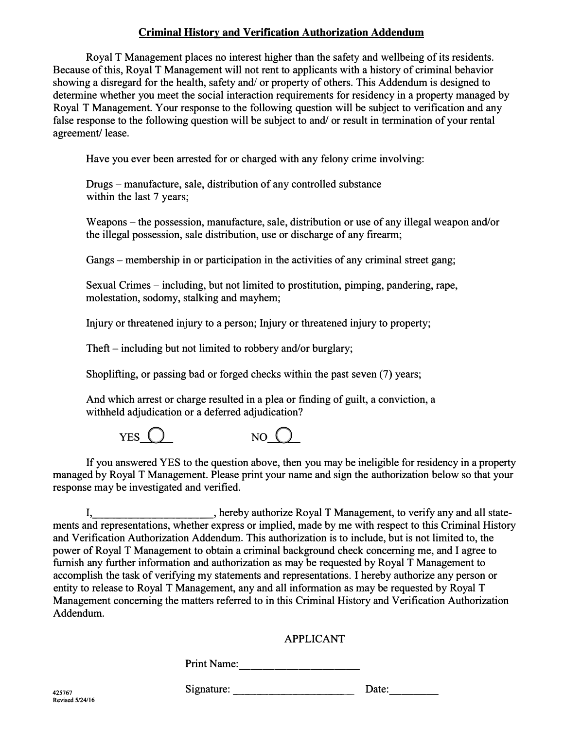### **Criminal History and Verification Authorization Addendum**

Royal T Management places no interest higher than the safety and wellbeing of its residents. Because of this, Royal T Management will not rent to applicants with a history of criminal behavior showing a disregard for the health, safety and/ or property of others. This Addendum is designed to determine whether you meet the social interaction requirements for residency in a property managed by Royal T Management. Your response to the following question will be subject to verification and any false response to the following question will be subject to and/ or result in termination of your rental agreement/ lease.

Have you ever been arrested for or charged with any felony crime involving:

Drugs - manufacture, sale, distribution of any controlled substance within the last 7 years;

Weapons – the possession, manufacture, sale, distribution or use of any illegal weapon and/or the illegal possession, sale distribution, use or discharge of any firearm;

Gangs - membership in or participation in the activities of any criminal street gang;

Sexual Crimes – including, but not limited to prostitution, pimping, pandering, rape, molestation, sodomy, stalking and mayhem;

Injury or threatened injury to a person; Injury or threatened injury to property;

Theft – including but not limited to robbery and/or burglary;

Shoplifting, or passing bad or forged checks within the past seven (7) years;

And which arrest or charge resulted in a plea or finding of guilt, a conviction, a withheld adjudication or a deferred adjudication?



If you answered YES to the question above, then you may be ineligible for residency in a property managed by Royal T Management. Please print your name and sign the authorization below so that your response may be investigated and verified.

I, hereby authorize Royal T Management, to verify any and all statements and representations, whether express or implied, made by me with respect to this Criminal History and Verification Authorization Addendum. This authorization is to include, but is not limited to, the power of Royal T Management to obtain a criminal background check concerning me, and I agree to furnish any further information and authorization as may be requested by Royal T Management to accomplish the task of verifying my statements and representations. I hereby authorize any person or entity to release to Royal T Management, any and all information as may be requested by Royal T Management concerning the matters referred to in this Criminal History and Verification Authorization Addendum.

### APPLICANT

Print Name: ----------

**425767**<br>Revised 5/24/16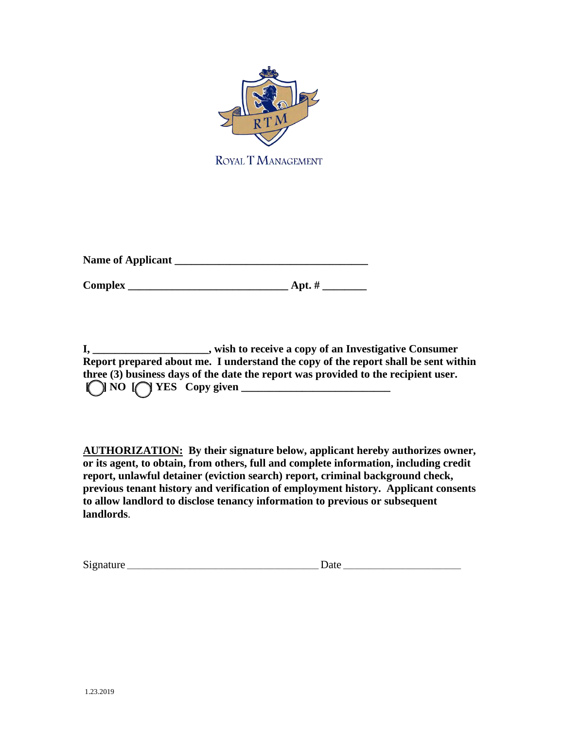

ROYAL T MANAGEMENT

**Name of Applicant \_\_\_\_\_\_\_\_\_\_\_\_\_\_\_\_\_\_\_\_\_\_\_\_\_\_\_\_\_\_\_\_\_\_\_** 

**Complex \_\_\_\_\_\_\_\_\_\_\_\_\_\_\_\_\_\_\_\_\_\_\_\_\_\_\_\_\_ Apt. # \_\_\_\_\_\_\_\_**

**I, \_\_\_\_\_\_\_\_\_\_\_\_\_\_\_\_\_\_\_\_\_, wish to receive a copy of an Investigative Consumer Report prepared about me. I understand the copy of the report shall be sent within three (3) business days of the date the report was provided to the recipient user.**   $[$  NO  $[$  YES Copy given  $\frac{1}{\sqrt{2}}$  NO  $[$  YES Copy given  $\frac{1}{\sqrt{2}}$ 

**AUTHORIZATION: By their signature below, applicant hereby authorizes owner, or its agent, to obtain, from others, full and complete information, including credit report, unlawful detainer (eviction search) report, criminal background check, previous tenant history and verification of employment history. Applicant consents to allow landlord to disclose tenancy information to previous or subsequent landlords**.

| Signature | Jate |
|-----------|------|
|           |      |